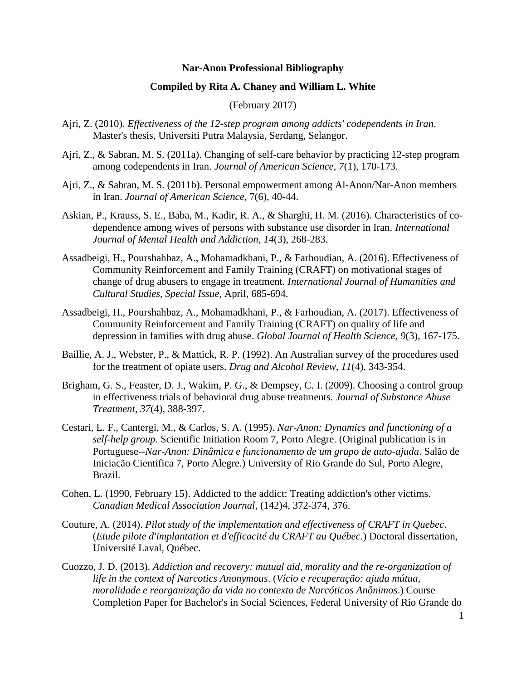## **Nar-Anon Professional Bibliography**

## **Compiled by Rita A. Chaney and William L. White**

(February 2017)

- Ajri, Z. (2010). *Effectiveness of the 12-step program among addicts' codependents in Iran*. Master's thesis, Universiti Putra Malaysia, Serdang, Selangor.
- Ajri, Z., & Sabran, M. S. (2011a). Changing of self-care behavior by practicing 12-step program among codependents in Iran. *Journal of American Science, 7*(1), 170-173.
- Ajri, Z., & Sabran, M. S. (2011b). Personal empowerment among Al-Anon/Nar-Anon members in Iran. *Journal of American Science*, 7(6), 40-44.
- Askian, P., Krauss, S. E., Baba, M., Kadir, R. A., & Sharghi, H. M. (2016). Characteristics of codependence among wives of persons with substance use disorder in Iran. *International Journal of Mental Health and Addiction*, *14*(3), 268-283.
- Assadbeigi, H., Pourshahbaz, A., Mohamadkhani, P., & Farhoudian, A. (2016). Effectiveness of Community Reinforcement and Family Training (CRAFT) on motivational stages of change of drug abusers to engage in treatment. *International Journal of Humanities and Cultural Studies, Special Issue*, April, 685-694.
- Assadbeigi, H., Pourshahbaz, A., Mohamadkhani, P., & Farhoudian, A. (2017). Effectiveness of Community Reinforcement and Family Training (CRAFT) on quality of life and depression in families with drug abuse. *Global Journal of Health Science, 9*(3), 167-175.
- Baillie, A. J., Webster, P., & Mattick, R. P. (1992). An Australian survey of the procedures used for the treatment of opiate users. *Drug and Alcohol Review, 11*(4), 343-354.
- Brigham, G. S., Feaster, D. J., Wakim, P. G., & Dempsey, C. I. (2009). Choosing a control group in effectiveness trials of behavioral drug abuse treatments. *Journal of Substance Abuse Treatment, 37*(4), 388-397.
- Cestari, L. F., Cantergi, M., & Carlos, S. A. (1995). *Nar-Anon: Dynamics and functioning of a self-help group*. Scientific Initiation Room 7, Porto Alegre. (Original publication is in Portuguese--*Nar-Anon: Dinâmica e funcionamento de um grupo de auto-ajuda*. Salão de Iniciacão Cientifica 7, Porto Alegre.) University of Rio Grande do Sul, Porto Alegre, Brazil.
- Cohen, L. (1990, February 15). Addicted to the addict: Treating addiction's other victims. *Canadian Medical Association Journal*, (142)4, 372-374, 376.
- Couture, A. (2014). *Pilot study of the implementation and effectiveness of CRAFT in Quebec*. (*Etude pilote d'implantation et d'efficacité du CRAFT au Québec*.) Doctoral dissertation, Université Laval, Québec.
- Cuozzo, J. D. (2013). *Addiction and recovery: mutual aid, morality and the re-organization of life in the context of Narcotics Anonymous*. (*Vício e recuperação: ajuda mútua, moralidade e reorganização da vida no contexto de Narcóticos Anônimos*.) Course Completion Paper for Bachelor's in Social Sciences, Federal University of Rio Grande do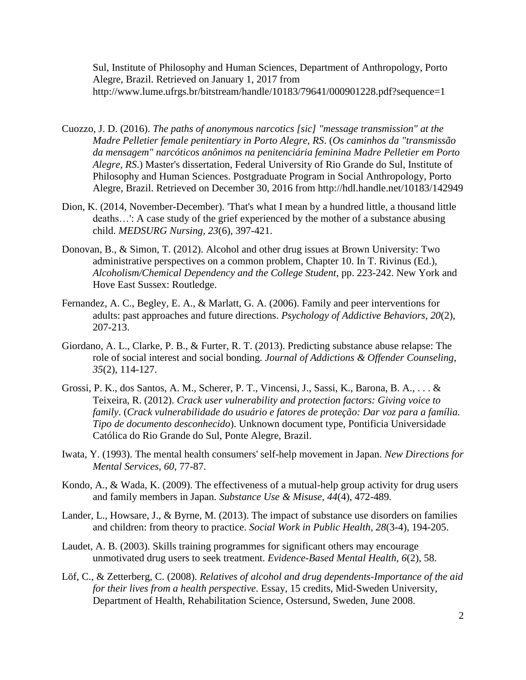Sul, Institute of Philosophy and Human Sciences, Department of Anthropology, Porto Alegre, Brazil. Retrieved on January 1, 2017 from http://www.lume.ufrgs.br/bitstream/handle/10183/79641/000901228.pdf?sequence=1

- Cuozzo, J. D. (2016). *The paths of anonymous narcotics [sic] "message transmission" at the Madre Pelletier female penitentiary in Porto Alegre, RS*. (*Os caminhos da "transmissão da mensagem" narcóticos anônimos na penitenciária feminina Madre Pelletier em Porto Alegre, RS*.) Master's dissertation, Federal University of Rio Grande do Sul, Institute of Philosophy and Human Sciences. Postgraduate Program in Social Anthropology, Porto Alegre, Brazil. Retrieved on December 30, 2016 from http://hdl.handle.net/10183/142949
- Dion, K. (2014, November-December). 'That's what I mean by a hundred little, a thousand little deaths…': A case study of the grief experienced by the mother of a substance abusing child. *MEDSURG Nursing, 23*(6), 397-421.
- Donovan, B., & Simon, T. (2012). Alcohol and other drug issues at Brown University: Two administrative perspectives on a common problem, Chapter 10. In T. Rivinus (Ed.), *Alcoholism/Chemical Dependency and the College Student*, pp. 223-242. New York and Hove East Sussex: Routledge.
- Fernandez, A. C., Begley, E. A., & Marlatt, G. A. (2006). Family and peer interventions for adults: past approaches and future directions. *Psychology of Addictive Behaviors, 20*(2), 207-213.
- Giordano, A. L., Clarke, P. B., & Furter, R. T. (2013). Predicting substance abuse relapse: The role of social interest and social bonding. *Journal of Addictions & Offender Counseling, 35*(2), 114-127.
- Grossi, P. K., dos Santos, A. M., Scherer, P. T., Vincensi, J., Sassi, K., Barona, B. A., . . . & Teixeira, R. (2012). *Crack user vulnerability and protection factors: Giving voice to family*. (*Crack vulnerabilidade do usuário e fatores de proteção: Dar voz para a família. Tipo de documento desconhecido*). Unknown document type, Pontificia Universidade Católica do Rio Grande do Sul, Ponte Alegre, Brazil.
- Iwata, Y. (1993). The mental health consumers' self-help movement in Japan. *New Directions for Mental Services, 60*, 77-87.
- Kondo, A., & Wada, K. (2009). The effectiveness of a mutual-help group activity for drug users and family members in Japan. *Substance Use & Misuse, 44*(4), 472-489.
- Lander, L., Howsare, J., & Byrne, M. (2013). The impact of substance use disorders on families and children: from theory to practice. *Social Work in Public Health, 28*(3-4), 194-205.
- Laudet, A. B. (2003). Skills training programmes for significant others may encourage unmotivated drug users to seek treatment. *Evidence-Based Mental Health, 6*(2), 58.
- Löf, C., & Zetterberg, C. (2008). *Relatives of alcohol and drug dependents-Importance of the aid for their lives from a health perspective*. Essay, 15 credits, Mid-Sweden University, Department of Health, Rehabilitation Science, Ostersund, Sweden, June 2008.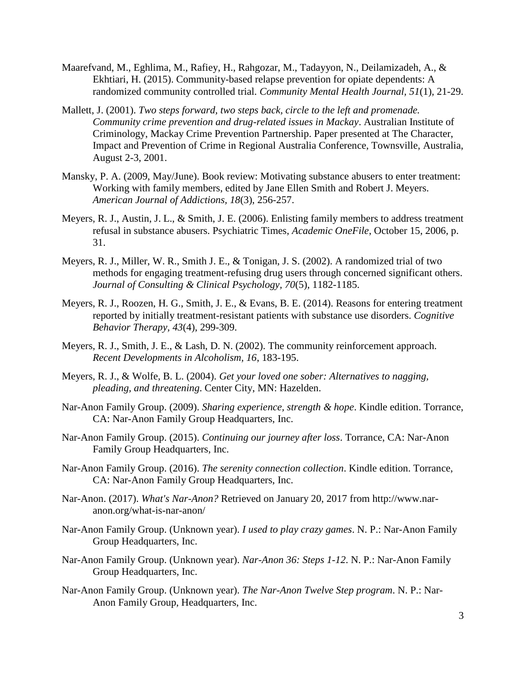- Maarefvand, M., Eghlima, M., Rafiey, H., Rahgozar, M., Tadayyon, N., Deilamizadeh, A., & Ekhtiari, H. (2015). Community-based relapse prevention for opiate dependents: A randomized community controlled trial. *Community Mental Health Journal, 51*(1), 21-29.
- Mallett, J. (2001). *Two steps forward, two steps back, circle to the left and promenade. Community crime prevention and drug-related issues in Mackay*. Australian Institute of Criminology, Mackay Crime Prevention Partnership. Paper presented at The Character, Impact and Prevention of Crime in Regional Australia Conference, Townsville, Australia, August 2-3, 2001.
- Mansky, P. A. (2009, May/June). Book review: Motivating substance abusers to enter treatment: Working with family members, edited by Jane Ellen Smith and Robert J. Meyers. *American Journal of Addictions, 18*(3), 256-257.
- Meyers, R. J., Austin, J. L., & Smith, J. E. (2006). Enlisting family members to address treatment refusal in substance abusers. Psychiatric Times, *Academic OneFile*, October 15, 2006, p. 31.
- Meyers, R. J., Miller, W. R., Smith J. E., & Tonigan, J. S. (2002). A randomized trial of two methods for engaging treatment-refusing drug users through concerned significant others. *Journal of Consulting & Clinical Psychology, 70*(5), 1182-1185.
- Meyers, R. J., Roozen, H. G., Smith, J. E., & Evans, B. E. (2014). Reasons for entering treatment reported by initially treatment-resistant patients with substance use disorders. *Cognitive Behavior Therapy, 43*(4), 299-309.
- Meyers, R. J., Smith, J. E., & Lash, D. N. (2002). The community reinforcement approach. *Recent Developments in Alcoholism, 16*, 183-195.
- Meyers, R. J., & Wolfe, B. L. (2004). *Get your loved one sober: Alternatives to nagging, pleading, and threatening*. Center City, MN: Hazelden.
- Nar-Anon Family Group. (2009). *Sharing experience, strength & hope*. Kindle edition. Torrance, CA: Nar-Anon Family Group Headquarters, Inc.
- Nar-Anon Family Group. (2015). *Continuing our journey after loss*. Torrance, CA: Nar-Anon Family Group Headquarters, Inc.
- Nar-Anon Family Group. (2016). *The serenity connection collection*. Kindle edition. Torrance, CA: Nar-Anon Family Group Headquarters, Inc.
- Nar-Anon. (2017). *What's Nar-Anon?* Retrieved on January 20, 2017 from http://www.naranon.org/what-is-nar-anon/
- Nar-Anon Family Group. (Unknown year). *I used to play crazy games*. N. P.: Nar-Anon Family Group Headquarters, Inc.
- Nar-Anon Family Group. (Unknown year). *Nar-Anon 36: Steps 1-12*. N. P.: Nar-Anon Family Group Headquarters, Inc.
- Nar-Anon Family Group. (Unknown year). *The Nar-Anon Twelve Step program*. N. P.: Nar-Anon Family Group, Headquarters, Inc.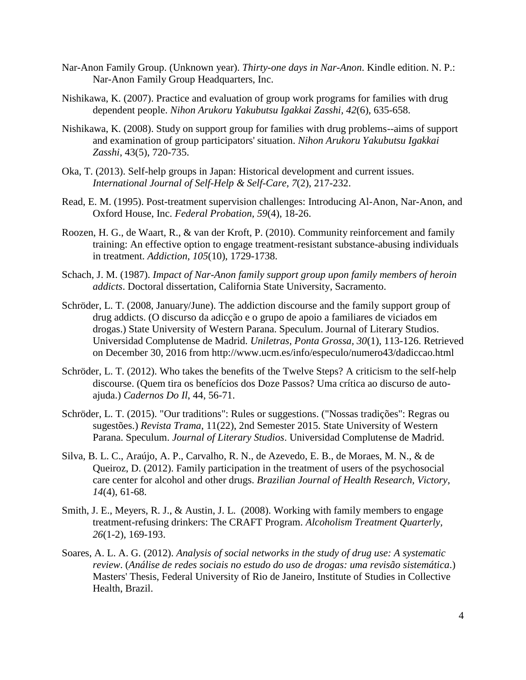- Nar-Anon Family Group. (Unknown year). *Thirty-one days in Nar-Anon*. Kindle edition. N. P.: Nar-Anon Family Group Headquarters, Inc.
- Nishikawa, K. (2007). Practice and evaluation of group work programs for families with drug dependent people. *Nihon Arukoru Yakubutsu Igakkai Zasshi, 42*(6), 635-658.
- Nishikawa, K. (2008). Study on support group for families with drug problems--aims of support and examination of group participators' situation. *Nihon Arukoru Yakubutsu Igakkai Zasshi*, 43(5), 720-735.
- Oka, T. (2013). Self-help groups in Japan: Historical development and current issues. *International Journal of Self-Help & Self-Care, 7*(2), 217-232.
- Read, E. M. (1995). Post-treatment supervision challenges: Introducing Al-Anon, Nar-Anon, and Oxford House, Inc. *Federal Probation, 59*(4), 18-26.
- Roozen, H. G., de Waart, R., & van der Kroft, P. (2010). Community reinforcement and family training: An effective option to engage treatment-resistant substance-abusing individuals in treatment. *Addiction, 105*(10), 1729-1738.
- Schach, J. M. (1987). *Impact of Nar-Anon family support group upon family members of heroin addicts*. Doctoral dissertation, California State University, Sacramento.
- Schröder, L. T. (2008, January/June). The addiction discourse and the family support group of drug addicts. (O discurso da adicção e o grupo de apoio a familiares de viciados em drogas.) State University of Western Parana. Speculum. Journal of Literary Studios. Universidad Complutense de Madrid. *Uniletras, Ponta Grossa, 30*(1), 113-126. Retrieved on December 30, 2016 from http://www.ucm.es/info/especulo/numero43/dadiccao.html
- Schröder, L. T. (2012). Who takes the benefits of the Twelve Steps? A criticism to the self-help discourse. (Quem tira os benefícios dos Doze Passos? Uma crítica ao discurso de autoajuda.) *Cadernos Do Il*, 44, 56-71.
- Schröder, L. T. (2015). "Our traditions": Rules or suggestions. ("Nossas tradições": Regras ou sugestões.) *Revista Trama*, 11(22), 2nd Semester 2015. State University of Western Parana. Speculum. *Journal of Literary Studios*. Universidad Complutense de Madrid.
- Silva, B. L. C., Araújo, A. P., Carvalho, R. N., de Azevedo, E. B., de Moraes, M. N., & de Queiroz, D. (2012). Family participation in the treatment of users of the psychosocial care center for alcohol and other drugs. *Brazilian Journal of Health Research, Victory, 14*(4), 61-68.
- Smith, J. E., Meyers, R. J., & Austin, J. L. (2008). Working with family members to engage treatment-refusing drinkers: The CRAFT Program. *Alcoholism Treatment Quarterly, 26*(1-2), 169-193.
- Soares, A. L. A. G. (2012). *Analysis of social networks in the study of drug use: A systematic review*. (*Análise de redes sociais no estudo do uso de drogas: uma revisão sistemática*.) Masters' Thesis, Federal University of Rio de Janeiro, Institute of Studies in Collective Health, Brazil.